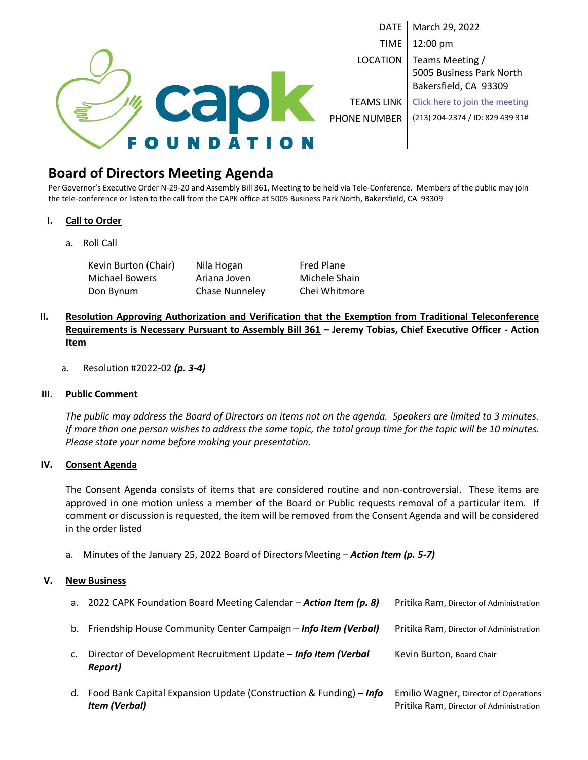

DATE | March 29, 2022 TIME 12:00 pm LOCATION | Teams Meeting / 5005 Business Park North Bakersfield, CA 93309

TEAMS LINK **[Click here to join the meeting](https://teams.microsoft.com/l/meetup-join/19%3ameeting_N2JkZGE4N2UtMjliMi00MjdjLTg1ODUtOGU0ZTZlMTA5NTI3%40thread.v2/0?context=%7b%22Tid%22%3a%2229917874-f6b9-4b78-a0d5-52f9a83b94f9%22%2c%22Oid%22%3a%223207cb9a-c005-4152-9ea8-3d6f6518b773%22%7d)** PHONE NUMBER (213) 204-2374 / ID: 829 439 31#

## **Board of Directors Meeting Agenda**

Per Governor's Executive Order N-29-20 and Assembly Bill 361, Meeting to be held via Tele-Conference. Members of the public may join the tele-conference or listen to the call from the CAPK office at 5005 Business Park North, Bakersfield, CA 93309

#### **I. Call to Order**

a. Roll Call

Kevin Burton (Chair) Nila Hogan Fred Plane Michael Bowers **Ariana Joven** Michele Shain Don Bynum Chase Nunneley Chei Whitmore

### **II. Resolution Approving Authorization and Verification that the Exemption from Traditional Teleconference Requirements is Necessary Pursuant to Assembly Bill 361 – Jeremy Tobias, Chief Executive Officer - Action Item**

a. Resolution #2022-02 *(p. 3-4)*

#### **III. Public Comment**

*The public may address the Board of Directors on items not on the agenda. Speakers are limited to 3 minutes. If more than one person wishes to address the same topic, the total group time for the topic will be 10 minutes. Please state your name before making your presentation.*

#### **IV. Consent Agenda**

The Consent Agenda consists of items that are considered routine and non-controversial. These items are approved in one motion unless a member of the Board or Public requests removal of a particular item. If comment or discussion is requested, the item will be removed from the Consent Agenda and will be considered in the order listed

a. Minutes of the January 25, 2022 Board of Directors Meeting – *Action Item (p. 5-7)*

#### **V. New Business**

| d. | Food Bank Capital Expansion Update (Construction & Funding) – Info<br><b>Item (Verbal)</b> | Emilio Wagner, Director of Operations<br>Pritika Ram, Director of Administration |
|----|--------------------------------------------------------------------------------------------|----------------------------------------------------------------------------------|
| c. | Director of Development Recruitment Update - Info Item (Verbal<br>Report)                  | Kevin Burton, Board Chair                                                        |
| b. | Friendship House Community Center Campaign - Info Item (Verbal)                            | Pritika Ram, Director of Administration                                          |
| а. | 2022 CAPK Foundation Board Meeting Calendar – Action Item (p. 8)                           | Pritika Ram, Director of Administration                                          |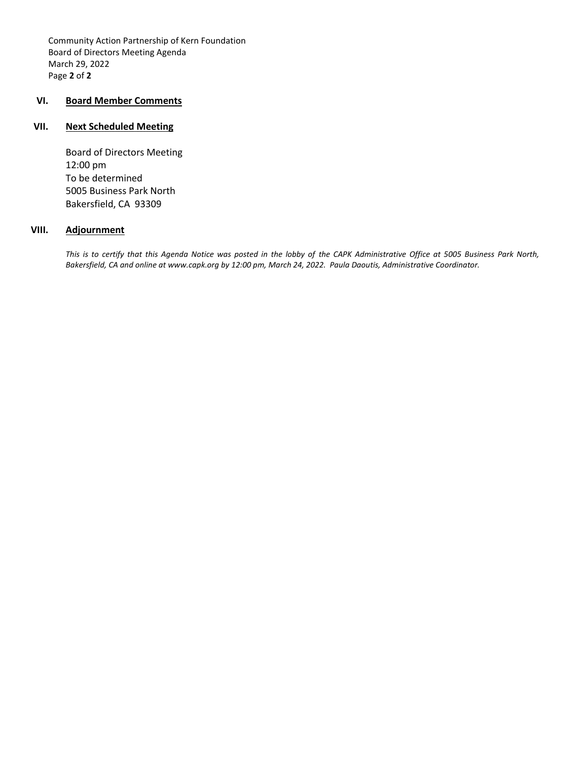Community Action Partnership of Kern Foundation Board of Directors Meeting Agenda March 29, 2022 Page **2** of **2**

#### **VI. Board Member Comments**

#### **VII. Next Scheduled Meeting**

Board of Directors Meeting 12:00 pm To be determined 5005 Business Park North Bakersfield, CA 93309

#### **VIII. Adjournment**

*This is to certify that this Agenda Notice was posted in the lobby of the CAPK Administrative Office at 5005 Business Park North, Bakersfield, CA and online at www.capk.org by 12:00 pm, March 24, 2022. Paula Daoutis, Administrative Coordinator.*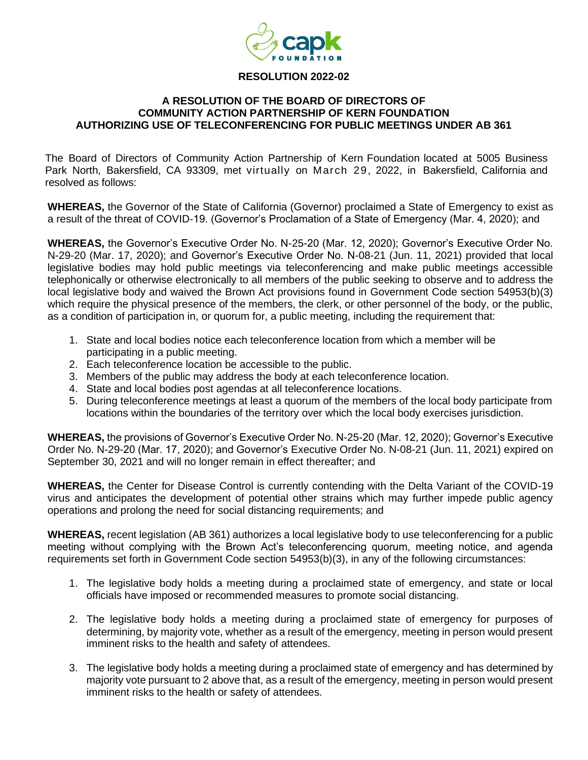

#### **RESOLUTION 2022-02**

#### **A RESOLUTION OF THE BOARD OF DIRECTORS OF COMMUNITY ACTION PARTNERSHIP OF KERN FOUNDATION AUTHORIZING USE OF TELECONFERENCING FOR PUBLIC MEETINGS UNDER AB 361**

The Board of Directors of Community Action Partnership of Kern Foundation located at 5005 Business Park North, Bakersfield, CA 93309, met virtually on March 29, 2022, in Bakersfield, California and resolved as follows:

**WHEREAS,** the Governor of the State of California (Governor) proclaimed a State of Emergency to exist as a result of the threat of COVID-19. (Governor's Proclamation of a State of Emergency (Mar. 4, 2020); and

**WHEREAS,** the Governor's Executive Order No. N-25-20 (Mar. 12, 2020); Governor's Executive Order No. N-29-20 (Mar. 17, 2020); and Governor's Executive Order No. N-08-21 (Jun. 11, 2021) provided that local legislative bodies may hold public meetings via teleconferencing and make public meetings accessible telephonically or otherwise electronically to all members of the public seeking to observe and to address the local legislative body and waived the Brown Act provisions found in Government Code section 54953(b)(3) which require the physical presence of the members, the clerk, or other personnel of the body, or the public, as a condition of participation in, or quorum for, a public meeting, including the requirement that:

- 1. State and local bodies notice each teleconference location from which a member will be participating in a public meeting.
- 2. Each teleconference location be accessible to the public.
- 3. Members of the public may address the body at each teleconference location.
- 4. State and local bodies post agendas at all teleconference locations.
- 5. During teleconference meetings at least a quorum of the members of the local body participate from locations within the boundaries of the territory over which the local body exercises jurisdiction.

**WHEREAS,** the provisions of Governor's Executive Order No. N-25-20 (Mar. 12, 2020); Governor's Executive Order No. N-29-20 (Mar. 17, 2020); and Governor's Executive Order No. N-08-21 (Jun. 11, 2021) expired on September 30, 2021 and will no longer remain in effect thereafter; and

**WHEREAS,** the Center for Disease Control is currently contending with the Delta Variant of the COVID-19 virus and anticipates the development of potential other strains which may further impede public agency operations and prolong the need for social distancing requirements; and

**WHEREAS,** recent legislation (AB 361) authorizes a local legislative body to use teleconferencing for a public meeting without complying with the Brown Act's teleconferencing quorum, meeting notice, and agenda requirements set forth in Government Code section 54953(b)(3), in any of the following circumstances:

- 1. The legislative body holds a meeting during a proclaimed state of emergency, and state or local officials have imposed or recommended measures to promote social distancing.
- 2. The legislative body holds a meeting during a proclaimed state of emergency for purposes of determining, by majority vote, whether as a result of the emergency, meeting in person would present imminent risks to the health and safety of attendees.
- 3. The legislative body holds a meeting during a proclaimed state of emergency and has determined by majority vote pursuant to 2 above that, as a result of the emergency, meeting in person would present imminent risks to the health or safety of attendees.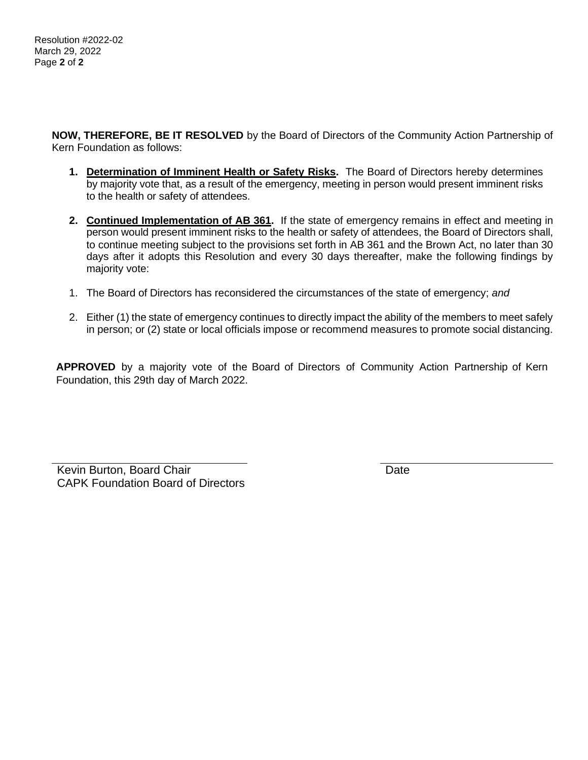**NOW, THEREFORE, BE IT RESOLVED** by the Board of Directors of the Community Action Partnership of Kern Foundation as follows:

- **1. Determination of Imminent Health or Safety Risks.** The Board of Directors hereby determines by majority vote that, as a result of the emergency, meeting in person would present imminent risks to the health or safety of attendees.
- **2. Continued Implementation of AB 361.** If the state of emergency remains in effect and meeting in person would present imminent risks to the health or safety of attendees, the Board of Directors shall, to continue meeting subject to the provisions set forth in AB 361 and the Brown Act, no later than 30 days after it adopts this Resolution and every 30 days thereafter, make the following findings by majority vote:
- 1. The Board of Directors has reconsidered the circumstances of the state of emergency; *and*
- 2. Either (1) the state of emergency continues to directly impact the ability of the members to meet safely in person; or (2) state or local officials impose or recommend measures to promote social distancing.

**APPROVED** by a majority vote of the Board of Directors of Community Action Partnership of Kern Foundation, this 29th day of March 2022.

Kevin Burton, Board Chair **Date** Date **Date** CAPK Foundation Board of Directors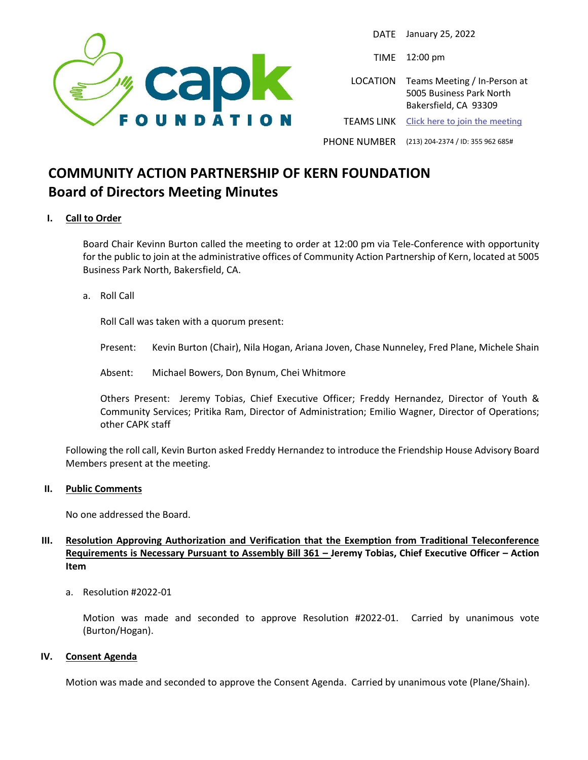

DATE January 25, 2022

TIME 12:00 pm

LOCATION Teams Meeting / In-Person at 5005 Business Park North Bakersfield, CA 93309 TEAMS LINK **[Click here to join the meeting](https://teams.microsoft.com/l/meetup-join/19%3ameeting_YjA4ZTMxODYtYjI4MS00ZThjLWE3YmQtMTc1MzY1MTAxMTE2%40thread.v2/0?context=%7b%22Tid%22%3a%2229917874-f6b9-4b78-a0d5-52f9a83b94f9%22%2c%22Oid%22%3a%223207cb9a-c005-4152-9ea8-3d6f6518b773%22%7d)**

PHONE NUMBER (213) 204-2374 / ID: 355 962 685#

## **COMMUNITY ACTION PARTNERSHIP OF KERN FOUNDATION Board of Directors Meeting Minutes**

#### **I. Call to Order**

Board Chair Kevinn Burton called the meeting to order at 12:00 pm via Tele-Conference with opportunity for the public to join at the administrative offices of Community Action Partnership of Kern, located at 5005 Business Park North, Bakersfield, CA.

a. Roll Call

Roll Call was taken with a quorum present:

Present: Kevin Burton (Chair), Nila Hogan, Ariana Joven, Chase Nunneley, Fred Plane, Michele Shain

Absent: Michael Bowers, Don Bynum, Chei Whitmore

Others Present: Jeremy Tobias, Chief Executive Officer; Freddy Hernandez, Director of Youth & Community Services; Pritika Ram, Director of Administration; Emilio Wagner, Director of Operations; other CAPK staff

Following the roll call, Kevin Burton asked Freddy Hernandez to introduce the Friendship House Advisory Board Members present at the meeting.

#### **II. Public Comments**

No one addressed the Board.

#### **III. Resolution Approving Authorization and Verification that the Exemption from Traditional Teleconference Requirements is Necessary Pursuant to Assembly Bill 361 – Jeremy Tobias, Chief Executive Officer – Action Item**

a. Resolution #2022-01

Motion was made and seconded to approve Resolution #2022-01. Carried by unanimous vote (Burton/Hogan).

#### **IV. Consent Agenda**

Motion was made and seconded to approve the Consent Agenda. Carried by unanimous vote (Plane/Shain).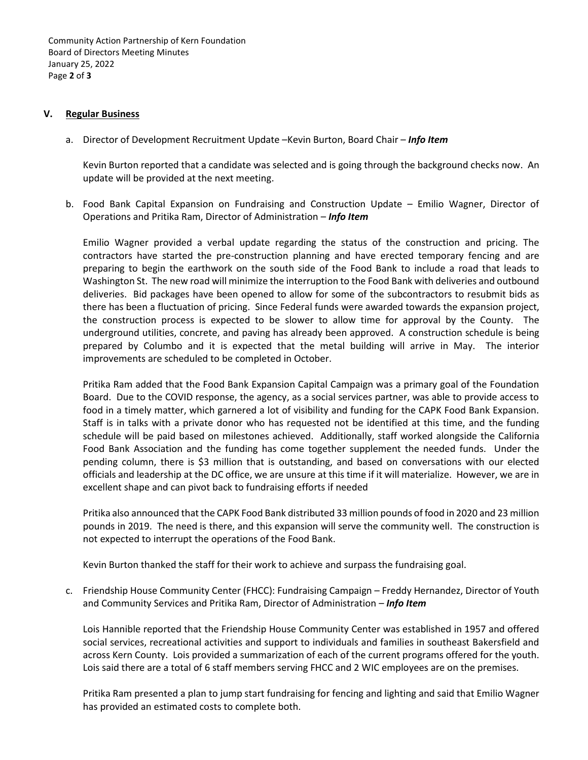Community Action Partnership of Kern Foundation Board of Directors Meeting Minutes January 25, 2022 Page **2** of **3**

#### **V. Regular Business**

a. Director of Development Recruitment Update –Kevin Burton, Board Chair – *Info Item*

Kevin Burton reported that a candidate was selected and is going through the background checks now. An update will be provided at the next meeting.

b. Food Bank Capital Expansion on Fundraising and Construction Update – Emilio Wagner, Director of Operations and Pritika Ram, Director of Administration – *Info Item*

Emilio Wagner provided a verbal update regarding the status of the construction and pricing. The contractors have started the pre-construction planning and have erected temporary fencing and are preparing to begin the earthwork on the south side of the Food Bank to include a road that leads to Washington St. The new road will minimize the interruption to the Food Bank with deliveries and outbound deliveries. Bid packages have been opened to allow for some of the subcontractors to resubmit bids as there has been a fluctuation of pricing. Since Federal funds were awarded towards the expansion project, the construction process is expected to be slower to allow time for approval by the County. The underground utilities, concrete, and paving has already been approved. A construction schedule is being prepared by Columbo and it is expected that the metal building will arrive in May. The interior improvements are scheduled to be completed in October.

Pritika Ram added that the Food Bank Expansion Capital Campaign was a primary goal of the Foundation Board. Due to the COVID response, the agency, as a social services partner, was able to provide access to food in a timely matter, which garnered a lot of visibility and funding for the CAPK Food Bank Expansion. Staff is in talks with a private donor who has requested not be identified at this time, and the funding schedule will be paid based on milestones achieved. Additionally, staff worked alongside the California Food Bank Association and the funding has come together supplement the needed funds. Under the pending column, there is \$3 million that is outstanding, and based on conversations with our elected officials and leadership at the DC office, we are unsure at this time if it will materialize. However, we are in excellent shape and can pivot back to fundraising efforts if needed

Pritika also announced that the CAPK Food Bank distributed 33 million pounds of food in 2020 and 23 million pounds in 2019. The need is there, and this expansion will serve the community well. The construction is not expected to interrupt the operations of the Food Bank.

Kevin Burton thanked the staff for their work to achieve and surpass the fundraising goal.

c. Friendship House Community Center (FHCC): Fundraising Campaign – Freddy Hernandez, Director of Youth and Community Services and Pritika Ram, Director of Administration – *Info Item*

Lois Hannible reported that the Friendship House Community Center was established in 1957 and offered social services, recreational activities and support to individuals and families in southeast Bakersfield and across Kern County. Lois provided a summarization of each of the current programs offered for the youth. Lois said there are a total of 6 staff members serving FHCC and 2 WIC employees are on the premises.

Pritika Ram presented a plan to jump start fundraising for fencing and lighting and said that Emilio Wagner has provided an estimated costs to complete both.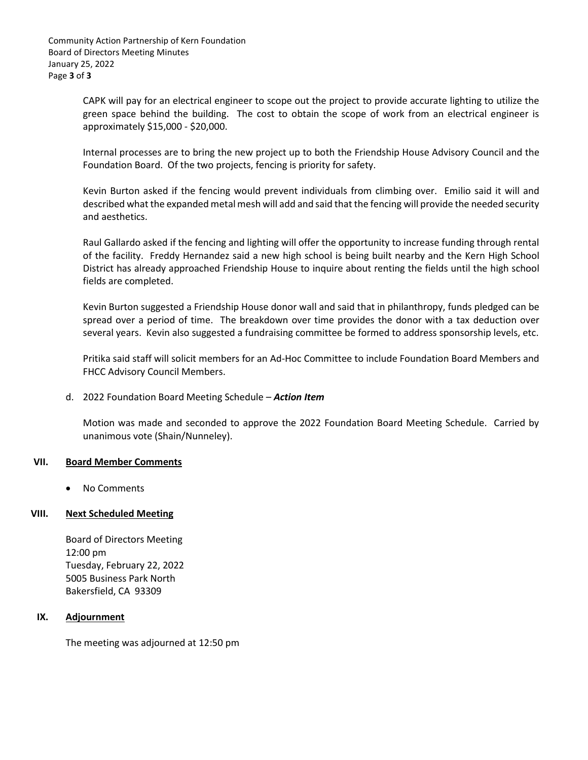CAPK will pay for an electrical engineer to scope out the project to provide accurate lighting to utilize the green space behind the building. The cost to obtain the scope of work from an electrical engineer is approximately \$15,000 - \$20,000.

Internal processes are to bring the new project up to both the Friendship House Advisory Council and the Foundation Board. Of the two projects, fencing is priority for safety.

Kevin Burton asked if the fencing would prevent individuals from climbing over. Emilio said it will and described what the expanded metal mesh will add and said that the fencing will provide the needed security and aesthetics.

Raul Gallardo asked if the fencing and lighting will offer the opportunity to increase funding through rental of the facility. Freddy Hernandez said a new high school is being built nearby and the Kern High School District has already approached Friendship House to inquire about renting the fields until the high school fields are completed.

Kevin Burton suggested a Friendship House donor wall and said that in philanthropy, funds pledged can be spread over a period of time. The breakdown over time provides the donor with a tax deduction over several years. Kevin also suggested a fundraising committee be formed to address sponsorship levels, etc.

Pritika said staff will solicit members for an Ad-Hoc Committee to include Foundation Board Members and FHCC Advisory Council Members.

d. 2022 Foundation Board Meeting Schedule – *Action Item* 

Motion was made and seconded to approve the 2022 Foundation Board Meeting Schedule. Carried by unanimous vote (Shain/Nunneley).

#### **VII. Board Member Comments**

• No Comments

#### **VIII. Next Scheduled Meeting**

Board of Directors Meeting 12:00 pm Tuesday, February 22, 2022 5005 Business Park North Bakersfield, CA 93309

#### **IX. Adjournment**

The meeting was adjourned at 12:50 pm